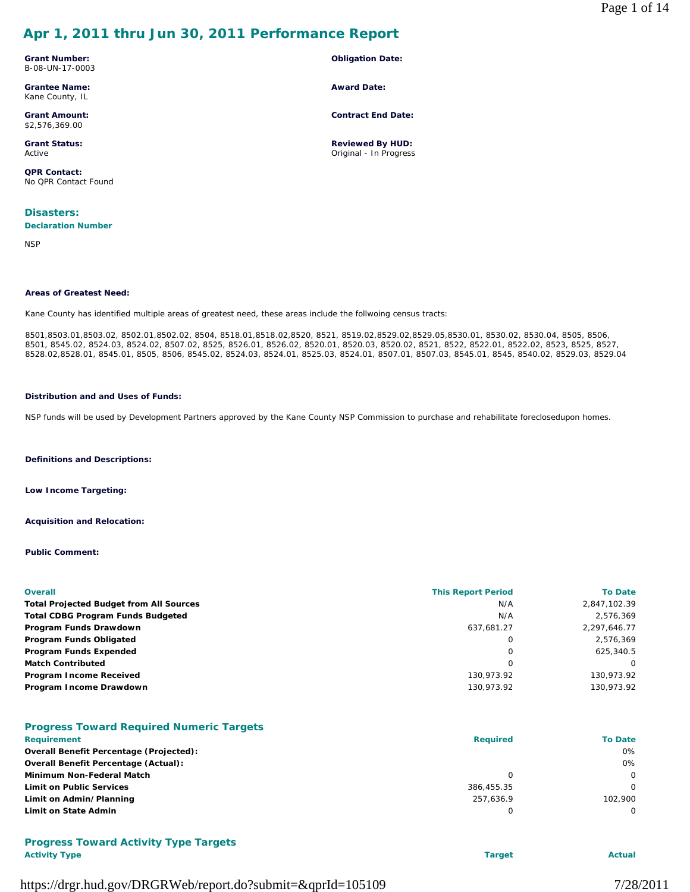# **Apr 1, 2011 thru Jun 30, 2011 Performance Report**

**Grant Number:** B-08-UN-17-0003

**Grantee Name:** Kane County, IL

**Grant Amount:** \$2,576,369.00

**Grant Status:** Active

**QPR Contact:** No QPR Contact Found

**Disasters:** 

**Declaration Number**

**NSP** 

### **Areas of Greatest Need:**

Kane County has identified multiple areas of greatest need, these areas include the follwoing census tracts:

8501,8503.01,8503.02, 8502.01,8502.02, 8504, 8518.01,8518.02,8520, 8521, 8519.02,8529.02,8529.05,8530.01, 8530.02, 8530.04, 8505, 8506, 8501, 8545.02, 8524.03, 8524.02, 8507.02, 8525, 8526.01, 8526.02, 8520.01, 8520.03, 8520.02, 8521, 8522, 8522.01, 8522.02, 8523, 8525, 8527, 8528.02,8528.01, 8545.01, 8505, 8506, 8545.02, 8524.03, 8524.01, 8525.03, 8524.01, 8507.01, 8507.03, 8545.01, 8545, 8540.02, 8529.03, 8529.04

**Obligation Date:**

**Contract End Date:**

**Reviewed By HUD:** Original - In Progress

**Award Date:**

### **Distribution and and Uses of Funds:**

NSP funds will be used by Development Partners approved by the Kane County NSP Commission to purchase and rehabilitate foreclosedupon homes.

**Definitions and Descriptions:**

**Low Income Targeting:**

**Acquisition and Relocation:**

**Public Comment:**

| <b>Overall</b>                                 | <b>This Report Period</b> | <b>To Date</b> |
|------------------------------------------------|---------------------------|----------------|
| <b>Total Projected Budget from All Sources</b> | N/A                       | 2,847,102.39   |
| <b>Total CDBG Program Funds Budgeted</b>       | N/A                       | 2,576,369      |
| Program Funds Drawdown                         | 637,681.27                | 2,297,646.77   |
| Program Funds Obligated                        | 0                         | 2.576.369      |
| Program Funds Expended                         | 0                         | 625.340.5      |
| <b>Match Contributed</b>                       | 0                         | $\Omega$       |
| Program Income Received                        | 130.973.92                | 130.973.92     |
| Program Income Drawdown                        | 130,973.92                | 130,973.92     |

|                                                | <b>To Date</b> |
|------------------------------------------------|----------------|
| <b>Required</b><br><b>Requirement</b>          |                |
| <b>Overall Benefit Percentage (Projected):</b> | $0\%$          |
| Overall Benefit Percentage (Actual):           | 0%             |
| Minimum Non-Federal Match                      | $\Omega$       |
| <b>Limit on Public Services</b><br>386.455.35  | 0              |
| Limit on Admin/Planning<br>257.636.9           | 102,900        |
| Limit on State Admin                           | 0              |

# **Progress Toward Activity Type Targets**

**Activity Type Target Actual**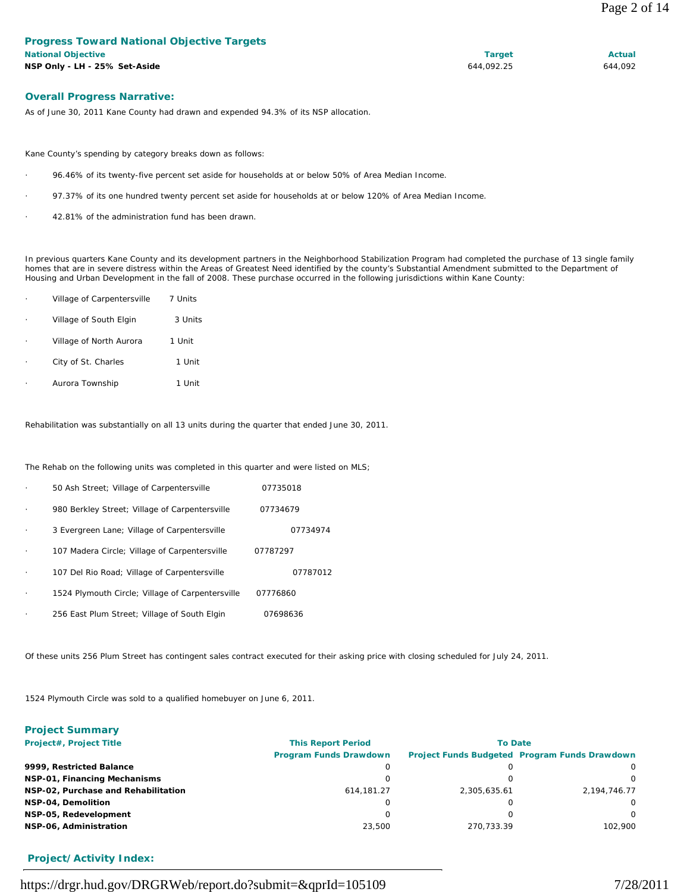### **Overall Progress Narrative:**

As of June 30, 2011 Kane County had drawn and expended 94.3% of its NSP allocation.

Kane County's spending by category breaks down as follows:

- · 96.46% of its twenty-five percent set aside for households at or below 50% of Area Median Income.
- 97.37% of its one hundred twenty percent set aside for households at or below 120% of Area Median Income.
- 42.81% of the administration fund has been drawn.

In previous quarters Kane County and its development partners in the Neighborhood Stabilization Program had completed the purchase of 13 single family homes that are in severe distress within the Areas of Greatest Need identified by the county's Substantial Amendment submitted to the Department of Housing and Urban Development in the fall of 2008. These purchase occurred in the following jurisdictions within Kane County:

| Village of Carpentersville | 7 Units |
|----------------------------|---------|
| Village of South Elgin     | 3 Units |
| Village of North Aurora    | 1 Unit  |
| City of St. Charles        | 1 Unit  |
| Aurora Township            | 1 Unit  |

Rehabilitation was substantially on all 13 units during the quarter that ended June 30, 2011.

The Rehab on the following units was completed in this quarter and were listed on MLS;

|           | 50 Ash Street; Village of Carpentersville        | 07735018 |
|-----------|--------------------------------------------------|----------|
| $\cdot$   | 980 Berkley Street; Village of Carpentersville   | 07734679 |
|           | 3 Evergreen Lane; Village of Carpentersville     | 07734974 |
|           | 107 Madera Circle; Village of Carpentersville    | 07787297 |
|           | 107 Del Rio Road; Village of Carpentersville     | 07787012 |
| $\bullet$ | 1524 Plymouth Circle; Village of Carpentersville | 07776860 |
|           | 256 East Plum Street; Village of South Elgin     | 07698636 |

Of these units 256 Plum Street has contingent sales contract executed for their asking price with closing scheduled for July 24, 2011.

1524 Plymouth Circle was sold to a qualified homebuyer on June 6, 2011.

| <b>Project Summary</b>              |                               |              |                                                      |  |  |
|-------------------------------------|-------------------------------|--------------|------------------------------------------------------|--|--|
| Project#, Project Title             | <b>This Report Period</b>     |              | <b>To Date</b>                                       |  |  |
|                                     | <b>Program Funds Drawdown</b> |              | <b>Project Funds Budgeted Program Funds Drawdown</b> |  |  |
| 9999, Restricted Balance            | 0                             |              | $\Omega$                                             |  |  |
| NSP-01, Financing Mechanisms        | 0                             |              | $\Omega$                                             |  |  |
| NSP-02, Purchase and Rehabilitation | 614.181.27                    | 2,305,635.61 | 2,194,746.77                                         |  |  |
| NSP-04, Demolition                  | O                             |              | $\Omega$                                             |  |  |
| NSP-05, Redevelopment               | 0                             |              | $\Omega$                                             |  |  |
| NSP-06, Administration              | 23,500                        | 270.733.39   | 102.900                                              |  |  |

### **Project/Activity Index:**

https://drgr.hud.gov/DRGRWeb/report.do?submit=&qprId=105109 7/28/2011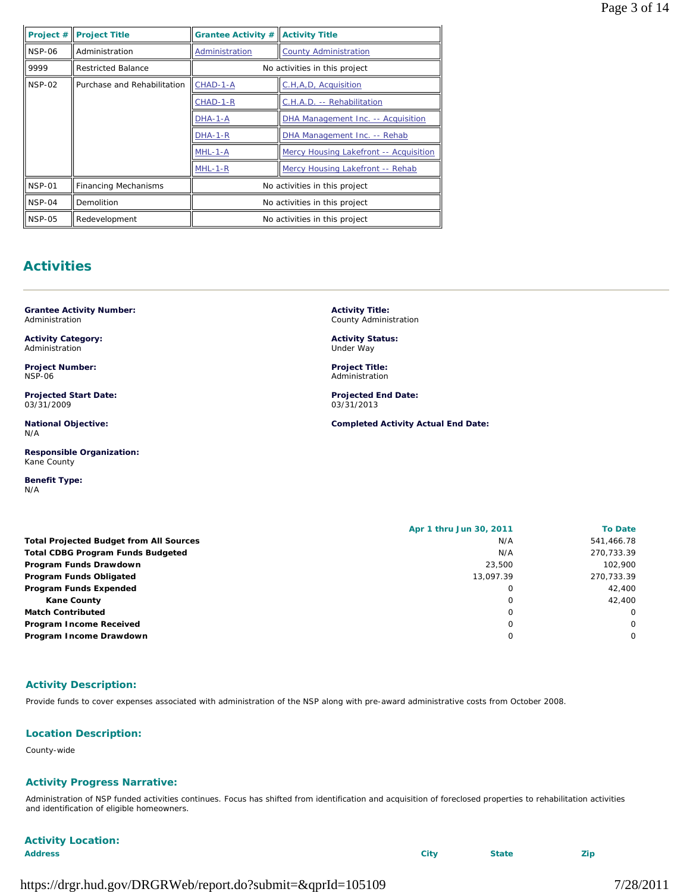| Project #     | <b>Project Title</b>        | <b>Grantee Activity #</b>                         | <b>Activity Title</b>            |  |
|---------------|-----------------------------|---------------------------------------------------|----------------------------------|--|
| <b>NSP-06</b> | Administration              | Administration                                    | <b>County Administration</b>     |  |
| 9999          | <b>Restricted Balance</b>   | No activities in this project                     |                                  |  |
| <b>NSP-02</b> | Purchase and Rehabilitation | CHAD-1-A<br>C.H,A,D, Acquisition                  |                                  |  |
|               |                             | C.H.A.D. -- Rehabilitation<br>CHAD-1-R            |                                  |  |
|               |                             | DHA Management Inc. -- Acquisition<br>DHA-1-A     |                                  |  |
|               |                             | DHA-1-R<br>DHA Management Inc. -- Rehab           |                                  |  |
|               |                             | Mercy Housing Lakefront -- Acquisition<br>MHL-1-A |                                  |  |
|               |                             | $MHL-1-R$                                         | Mercy Housing Lakefront -- Rehab |  |
| <b>NSP-01</b> | <b>Financing Mechanisms</b> | No activities in this project                     |                                  |  |
| $NSP-04$      | Demolition                  | No activities in this project                     |                                  |  |
| <b>NSP-05</b> | Redevelopment               | No activities in this project                     |                                  |  |

# **Activities**

**Grantee Activity Number:** Administration

**Activity Category:** Administration

**Project Number:** NSP-06

**Projected Start Date:** 03/31/2009

**National Objective:** N/A

**Responsible Organization:** Kane County

**Benefit Type:**  N/A

**Activity Title:** County Administration

**Activity Status:** Under Way

**Project Title:** Administration

**Projected End Date:** 03/31/2013

**Completed Activity Actual End Date:**

|                                                | Apr 1 thru Jun 30, 2011 |            |
|------------------------------------------------|-------------------------|------------|
| <b>Total Projected Budget from All Sources</b> | N/A                     | 541,466.78 |
| <b>Total CDBG Program Funds Budgeted</b>       | N/A                     | 270,733.39 |
| Program Funds Drawdown                         | 23,500                  | 102.900    |
| Program Funds Obligated                        | 13.097.39               | 270,733.39 |
| Program Funds Expended                         |                         | 42,400     |
| <b>Kane County</b>                             |                         | 42,400     |
| <b>Match Contributed</b>                       | O                       | $\Omega$   |
| Program Income Received                        |                         | $\Omega$   |
| Program Income Drawdown                        |                         | $\Omega$   |

## **Activity Description:**

Provide funds to cover expenses associated with administration of the NSP along with pre-award administrative costs from October 2008.

## **Location Description:**

County-wide

## **Activity Progress Narrative:**

Administration of NSP funded activities continues. Focus has shifted from identification and acquisition of foreclosed properties to rehabilitation activities and identification of eligible homeowners.

| <b>Activity Location:</b> |             |              |     |
|---------------------------|-------------|--------------|-----|
| <b>Address</b>            | <b>City</b> | <b>State</b> | Zip |
|                           |             |              |     |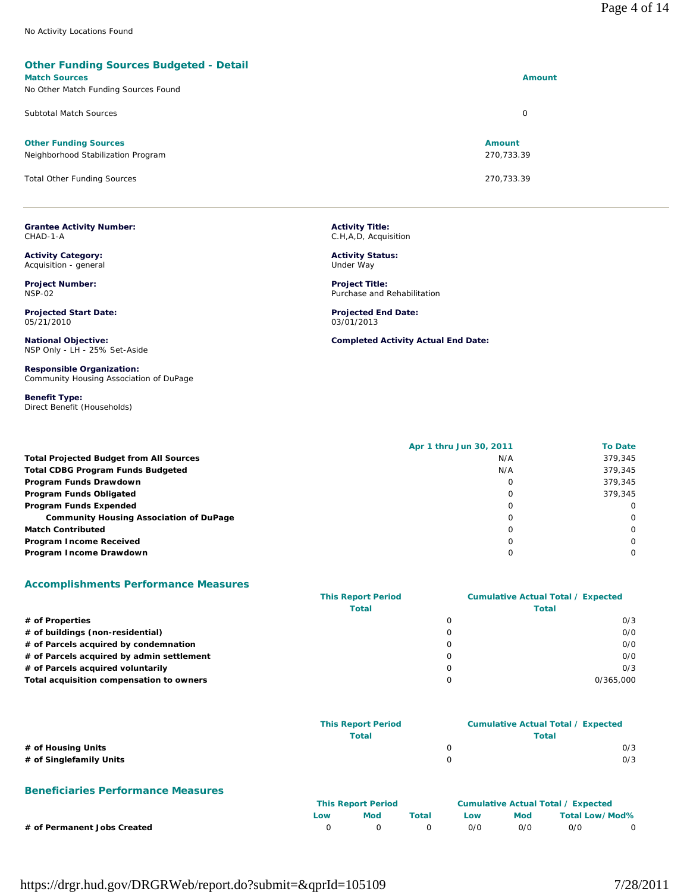### **Other Funding Sources Budgeted - Detail**

## **Match Sources Amount**

| No Other Match Funding Sources Found |               |
|--------------------------------------|---------------|
| <b>Subtotal Match Sources</b>        | 0             |
| <b>Other Funding Sources</b>         | <b>Amount</b> |
| Neighborhood Stabilization Program   | 270.733.39    |
| <b>Total Other Funding Sources</b>   | 270,733.39    |

**Grantee Activity Number:** CHAD-1-A

**Activity Category:** Acquisition - general

**Project Number:** NSP-02

**Projected Start Date:** 05/21/2010

**National Objective:** NSP Only - LH - 25% Set-Aside

**Responsible Organization:** Community Housing Association of DuPage

**Benefit Type:**  Direct Benefit (Households) **Activity Title:** C.H,A,D, Acquisition

**Activity Status:** Under Way

**Project Title:** Purchase and Rehabilitation

**Projected End Date:** 03/01/2013

**Completed Activity Actual End Date:**

|                                                | Apr 1 thru Jun 30, 2011 | <b>To Date</b> |
|------------------------------------------------|-------------------------|----------------|
| <b>Total Projected Budget from All Sources</b> | N/A                     | 379.345        |
| <b>Total CDBG Program Funds Budgeted</b>       | N/A                     | 379.345        |
| Program Funds Drawdown                         | $\Omega$                | 379.345        |
| Program Funds Obligated                        | 0                       | 379.345        |
| Program Funds Expended                         | $\Omega$                | $\Omega$       |
| <b>Community Housing Association of DuPage</b> |                         | $\Omega$       |
| <b>Match Contributed</b>                       | $\Omega$                | $\Omega$       |
| Program Income Received                        |                         | $\Omega$       |
| Program Income Drawdown                        |                         | $\Omega$       |

### **Accomplishments Performance Measures**

|                                           | <b>This Report Period</b> | <b>Cumulative Actual Total / Expected</b> |  |
|-------------------------------------------|---------------------------|-------------------------------------------|--|
|                                           | <b>Total</b>              | Total                                     |  |
| # of Properties                           |                           | 0/3                                       |  |
| # of buildings (non-residential)          |                           | 0/0                                       |  |
| # of Parcels acquired by condemnation     |                           | O/O                                       |  |
| # of Parcels acquired by admin settlement |                           | 0/0                                       |  |
| # of Parcels acquired voluntarily         |                           | 0/3                                       |  |
| Total acquisition compensation to owners  |                           | 0/365,000                                 |  |

|                         | <b>This Report Period</b> | <b>Cumulative Actual Total / Expected</b> |  |
|-------------------------|---------------------------|-------------------------------------------|--|
|                         | Total                     | Total                                     |  |
| # of Housing Units      |                           | 0/3                                       |  |
| # of Singlefamily Units |                           | 0/3                                       |  |

### **Beneficiaries Performance Measures**

|                             | <b>This Report Period</b> |     |       | Cumulative Actual Total / Expected |     |                |  |
|-----------------------------|---------------------------|-----|-------|------------------------------------|-----|----------------|--|
|                             | LOW                       | Mod | Total | Low                                | Mod | Total Low/Mod% |  |
| # of Permanent Jobs Created |                           |     |       | 0/0                                | 0/0 | 0/0            |  |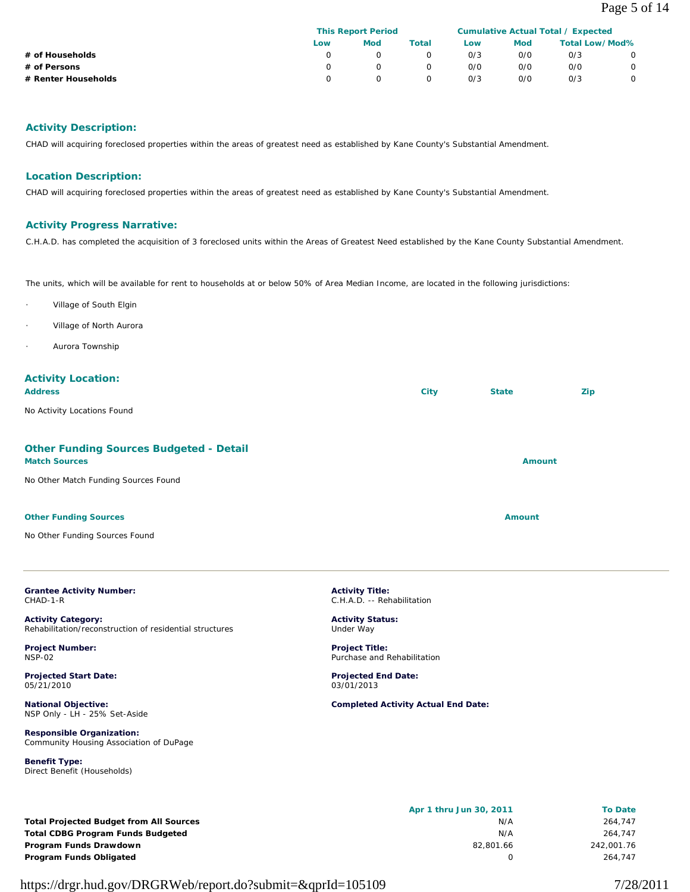|                     | <b>This Report Period</b> |     |       | Cumulative Actual Total / Expected |     |                       |  |
|---------------------|---------------------------|-----|-------|------------------------------------|-----|-----------------------|--|
|                     | Low                       | Mod | Total | Low                                | Mod | <b>Total Low/Mod%</b> |  |
| # of Households     |                           |     |       | 0/3                                | 0/0 | O/3                   |  |
| # of Persons        |                           |     |       | 0/0                                | 0/0 | 0/0                   |  |
| # Renter Households |                           |     |       | 0/3                                | 0/0 | O/3                   |  |

# **Activity Description:**

CHAD will acquiring foreclosed properties within the areas of greatest need as established by Kane County's Substantial Amendment.

## **Location Description:**

CHAD will acquiring foreclosed properties within the areas of greatest need as established by Kane County's Substantial Amendment.

## **Activity Progress Narrative:**

C.H.A.D. has completed the acquisition of 3 foreclosed units within the Areas of Greatest Need established by the Kane County Substantial Amendment.

The units, which will be available for rent to households at or below 50% of Area Median Income, are located in the following jurisdictions:

- Village of South Elgin
- Village of North Aurora
- Aurora Township

# **Activity Location:**

| <b>Address</b> | Citv | <b>State</b> | Zip |
|----------------|------|--------------|-----|
|----------------|------|--------------|-----|

No Activity Locations Found

# **Other Funding Sources Budgeted - Detail Match Sources Amount** No Other Match Funding Sources Found **Other Funding Sources Amount Amount Amount Amount Amount** No Other Funding Sources Found

#### **Grantee Activity Number:** CHAD-1-R

**Activity Category:** Rehabilitation/reconstruction of residential structures

**Project Number:** NSP-02

**Projected Start Date:** 05/21/2010

**National Objective:** NSP Only - LH - 25% Set-Aside

**Responsible Organization:** Community Housing Association of DuPage

**Benefit Type:**  Direct Benefit (Households)

**Activity Title:** C.H.A.D. -- Rehabilitation

**Activity Status:** Under Way

**Project Title:** Purchase and Rehabilitation

**Projected End Date:** 03/01/2013

**Completed Activity Actual End Date:**

|                                                | Apr 1 thru Jun 30, 2011 | <b>To Date</b> |
|------------------------------------------------|-------------------------|----------------|
| <b>Total Projected Budget from All Sources</b> | N/A                     | 264.747        |
| <b>Total CDBG Program Funds Budgeted</b>       | N/A                     | 264.747        |
| Program Funds Drawdown                         | 82.801.66               | 242,001.76     |
| Program Funds Obligated                        |                         | 264.747        |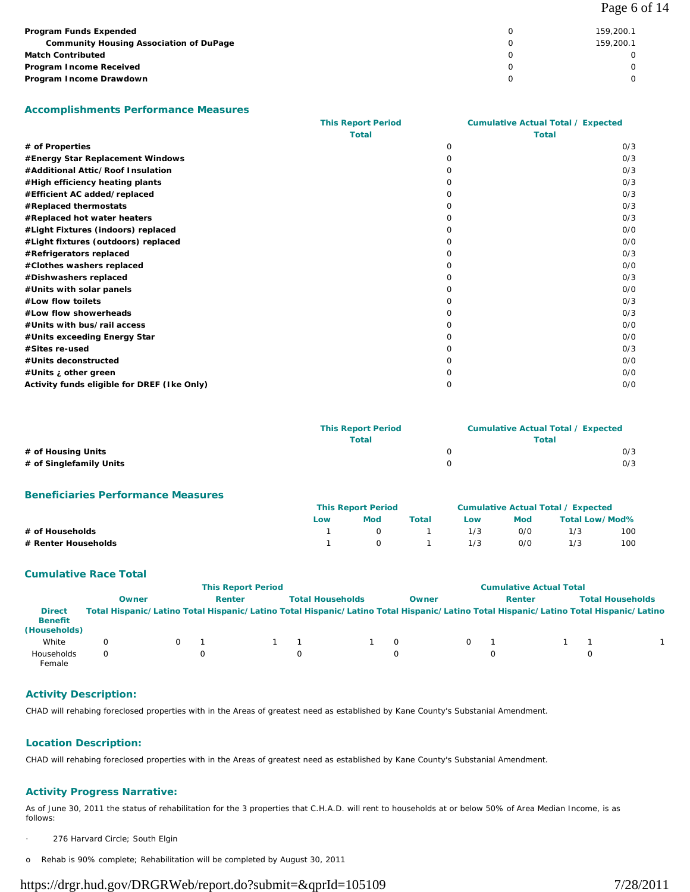| Program Funds Expended<br><b>Community Housing Association of DuPage</b><br><b>Match Contributed</b> | 159.200.1<br>159,200.1 |
|------------------------------------------------------------------------------------------------------|------------------------|
| Program Income Received                                                                              |                        |
| Program Income Drawdown                                                                              |                        |

### **Accomplishments Performance Measures**

|                                             | <b>This Report Period</b> | <b>Cumulative Actual Total / Expected</b> |     |
|---------------------------------------------|---------------------------|-------------------------------------------|-----|
|                                             | <b>Total</b>              | <b>Total</b>                              |     |
| # of Properties                             |                           | $\Omega$                                  | O/3 |
| #Energy Star Replacement Windows            |                           | 0                                         | O/3 |
| #Additional Attic/Roof Insulation           |                           | Ω                                         | O/3 |
| #High efficiency heating plants             |                           |                                           | O/3 |
| #Efficient AC added/replaced                |                           | O                                         | 0/3 |
| #Replaced thermostats                       |                           |                                           | 0/3 |
| #Replaced hot water heaters                 |                           |                                           | O/3 |
| #Light Fixtures (indoors) replaced          |                           |                                           | O/O |
| #Light fixtures (outdoors) replaced         |                           |                                           | O/O |
| #Refrigerators replaced                     |                           |                                           | O/3 |
| #Clothes washers replaced                   |                           |                                           | O/O |
| #Dishwashers replaced                       |                           | O                                         | O/3 |
| #Units with solar panels                    |                           | O                                         | O/O |
| #Low flow toilets                           |                           | Ω                                         | O/3 |
| #Low flow showerheads                       |                           | Ω                                         | O/3 |
| #Units with bus/rail access                 |                           | $\Omega$                                  | O/O |
| #Units exceeding Energy Star                |                           | ∩                                         | O/O |
| #Sites re-used                              |                           | O                                         | O/3 |
| #Units deconstructed                        |                           | O                                         | 0/0 |
| #Units ; other green                        |                           |                                           | 0/0 |
| Activity funds eligible for DREF (Ike Only) |                           | Ω                                         | 0/0 |

|                         | <b>This Report Period</b> | <b>Cumulative Actual Total / Expected</b> |     |  |
|-------------------------|---------------------------|-------------------------------------------|-----|--|
|                         | Total                     | Total                                     |     |  |
| # of Housing Units      |                           |                                           | 0/3 |  |
| # of Singlefamily Units |                           |                                           | 0/3 |  |

## **Beneficiaries Performance Measures**

|                     | <b>This Report Period</b> |                |          | <b>Cumulative Actual Total / Expected</b> |            |                |     |
|---------------------|---------------------------|----------------|----------|-------------------------------------------|------------|----------------|-----|
|                     | Low                       | Mod            | Total    | Low                                       | <b>Mod</b> | Total Low/Mod% |     |
| # of Households     |                           | $\overline{O}$ |          | 1/3                                       | 0/0        | 1/3            | 100 |
| # Renter Households |                           | $\overline{a}$ | $\sim$ 1 | 1/3                                       | 0/0        | 1/3            | 100 |

### **Cumulative Race Total**

|                                                 | <b>This Report Period</b> |  |        |  | <b>Cumulative Actual Total</b> |          |          |   |        |                                                                                                                                     |
|-------------------------------------------------|---------------------------|--|--------|--|--------------------------------|----------|----------|---|--------|-------------------------------------------------------------------------------------------------------------------------------------|
|                                                 | Owner                     |  | Renter |  | <b>Total Households</b>        |          | Owner    |   | Renter | <b>Total Households</b>                                                                                                             |
| <b>Direct</b><br><b>Benefit</b><br>(Households) |                           |  |        |  |                                |          |          |   |        | Total Hispanic/Latino Total Hispanic/Latino Total Hispanic/Latino Total Hispanic/Latino Total Hispanic/Latino Total Hispanic/Latino |
| White                                           |                           |  |        |  |                                | $\Omega$ | $\Omega$ |   |        |                                                                                                                                     |
| Households<br>Female                            |                           |  |        |  |                                | $\Omega$ |          | Ω |        |                                                                                                                                     |

## **Activity Description:**

CHAD will rehabing foreclosed properties with in the Areas of greatest need as established by Kane County's Substanial Amendment.

### **Location Description:**

CHAD will rehabing foreclosed properties with in the Areas of greatest need as established by Kane County's Substanial Amendment.

## **Activity Progress Narrative:**

As of June 30, 2011 the status of rehabilitation for the 3 properties that C.H.A.D. will rent to households at or below 50% of Area Median Income, is as follows:

- 276 Harvard Circle; South Elgin
- o Rehab is 90% complete; Rehabilitation will be completed by August 30, 2011

# https://drgr.hud.gov/DRGRWeb/report.do?submit=&qprId=105109 7/28/2011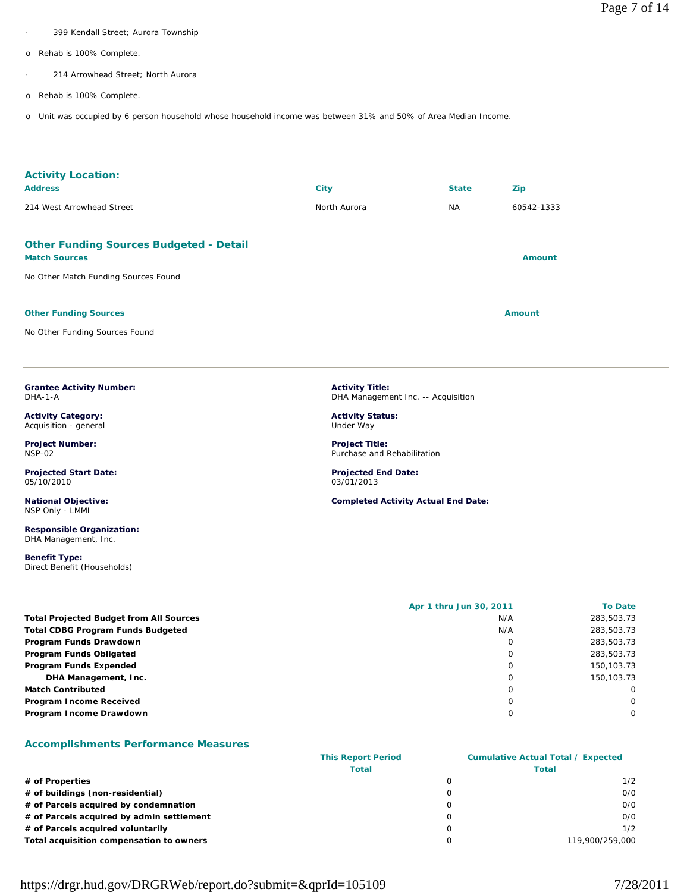- 399 Kendall Street; Aurora Township
- o Rehab is 100% Complete.
	- 214 Arrowhead Street; North Aurora
- o Rehab is 100% Complete.
- o Unit was occupied by 6 person household whose household income was between 31% and 50% of Area Median Income.

| <b>Activity Location:</b><br><b>Address</b>                                                                    | <b>City</b>  | <b>State</b> | Zip           |
|----------------------------------------------------------------------------------------------------------------|--------------|--------------|---------------|
| 214 West Arrowhead Street                                                                                      | North Aurora | <b>NA</b>    | 60542-1333    |
| <b>Other Funding Sources Budgeted - Detail</b><br><b>Match Sources</b><br>No Other Match Funding Sources Found |              |              | Amount        |
| <b>Other Funding Sources</b><br>No Other Funding Sources Found                                                 |              |              | <b>Amount</b> |

**Grantee Activity Number:** DHA-1-A

**Activity Category:** Acquisition - general

**Project Number:** NSP-02

**Projected Start Date:** 05/10/2010

**National Objective:** NSP Only - LMMI

**Responsible Organization:** DHA Management, Inc.

**Benefit Type:**  Direct Benefit (Households) **Activity Title:** DHA Management Inc. -- Acquisition

**Activity Status:** Under Way

**Project Title:** Purchase and Rehabilitation

**Projected End Date:** 03/01/2013

**Completed Activity Actual End Date:**

|                                                | Apr 1 thru Jun 30, 2011 | <b>To Date</b> |
|------------------------------------------------|-------------------------|----------------|
| <b>Total Projected Budget from All Sources</b> | N/A                     | 283,503.73     |
| Total CDBG Program Funds Budgeted              | N/A                     | 283,503.73     |
| Program Funds Drawdown                         | 0                       | 283,503.73     |
| Program Funds Obligated                        | 0                       | 283,503.73     |
| Program Funds Expended                         | $\Omega$                | 150,103.73     |
| DHA Management, Inc.                           |                         | 150.103.73     |
| Match Contributed                              | 0                       | $\Omega$       |
| Program Income Received                        | 0                       | $\Omega$       |
| Program Income Drawdown                        |                         | $\Omega$       |
|                                                |                         |                |

### **Accomplishments Performance Measures**

|                                           | <b>This Report Period</b> | <b>Cumulative Actual Total / Expected</b> |                 |  |  |
|-------------------------------------------|---------------------------|-------------------------------------------|-----------------|--|--|
|                                           | <b>Total</b>              |                                           | <b>Total</b>    |  |  |
| # of Properties                           |                           |                                           | 1/2             |  |  |
| # of buildings (non-residential)          |                           |                                           | 0/0             |  |  |
| # of Parcels acquired by condemnation     |                           |                                           | 0/0             |  |  |
| # of Parcels acquired by admin settlement |                           |                                           | 0/0             |  |  |
| # of Parcels acquired voluntarily         |                           |                                           | 1/2             |  |  |
| Total acquisition compensation to owners  |                           |                                           | 119.900/259.000 |  |  |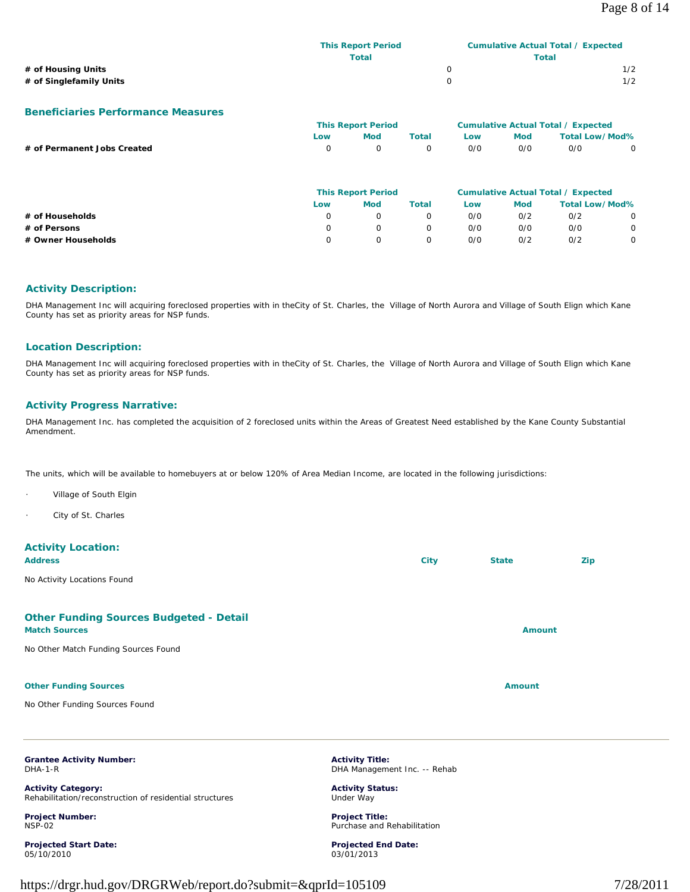|                         | <b>This Report Period</b> | Cumulative Actual Total / Expected |
|-------------------------|---------------------------|------------------------------------|
|                         | Total                     | Total                              |
| # of Housing Units      |                           | 1/2                                |
| # of Singlefamily Units |                           | 1/2                                |

### **Beneficiaries Performance Measures**

|                             |            | <b>This Report Period</b> |          |     |     | <b>Cumulative Actual Total / Expected</b> |   |
|-----------------------------|------------|---------------------------|----------|-----|-----|-------------------------------------------|---|
|                             | <b>Low</b> | <b>Mod</b>                | Total    | Low | Mod | Total Low/Mod%                            |   |
| # of Permanent Jobs Created | $\cap$     | $\Omega$                  | $\Omega$ | O/O | 0/0 | 0/0                                       | 0 |
|                             |            |                           |          |     |     |                                           |   |

|                    | <b>This Report Period</b> |     | <b>Cumulative Actual Total / Expected</b> |     |     |                       |   |
|--------------------|---------------------------|-----|-------------------------------------------|-----|-----|-----------------------|---|
|                    | Low                       | Mod | Total                                     | Low | Mod | <b>Total Low/Mod%</b> |   |
| # of Households    |                           |     |                                           | 0/0 | 0/2 | 0/2                   | 0 |
| # of Persons       |                           |     |                                           | 0/0 | 0/0 | 0/0                   | 0 |
| # Owner Households |                           |     |                                           | 0/0 | 0/2 | 0/2                   | 0 |

### **Activity Description:**

DHA Management Inc will acquiring foreclosed properties with in theCity of St. Charles, the Village of North Aurora and Village of South Elign which Kane County has set as priority areas for NSP funds.

### **Location Description:**

DHA Management Inc will acquiring foreclosed properties with in theCity of St. Charles, the Village of North Aurora and Village of South Elign which Kane County has set as priority areas for NSP funds.

### **Activity Progress Narrative:**

DHA Management Inc. has completed the acquisition of 2 foreclosed units within the Areas of Greatest Need established by the Kane County Substantial Amendment.

The units, which will be available to homebuyers at or below 120% of Area Median Income, are located in the following jurisdictions:

- Village of South Elgin
- City of St. Charles

# **Activity Location:**

| <b>Address</b>                                                         | <b>City</b> | <b>State</b>  | Zip |
|------------------------------------------------------------------------|-------------|---------------|-----|
| No Activity Locations Found                                            |             |               |     |
| <b>Other Funding Sources Budgeted - Detail</b><br><b>Match Sources</b> |             | <b>Amount</b> |     |
| No Other Match Funding Sources Found                                   |             |               |     |
| <b>Other Funding Sources</b>                                           |             | <b>Amount</b> |     |
| No Other Funding Sources Found                                         |             |               |     |

**Grantee Activity Number:** DHA-1-R

**Activity Category:** Rehabilitation/reconstruction of residential structures

**Project Number:** NSP-02

**Projected Start Date:** 05/10/2010

**Activity Title:** DHA Management Inc. -- Rehab

**Activity Status:** Under Way

**Project Title:** Purchase and Rehabilitation

**Projected End Date:** 03/01/2013

https://drgr.hud.gov/DRGRWeb/report.do?submit=&qprId=105109 7/28/2011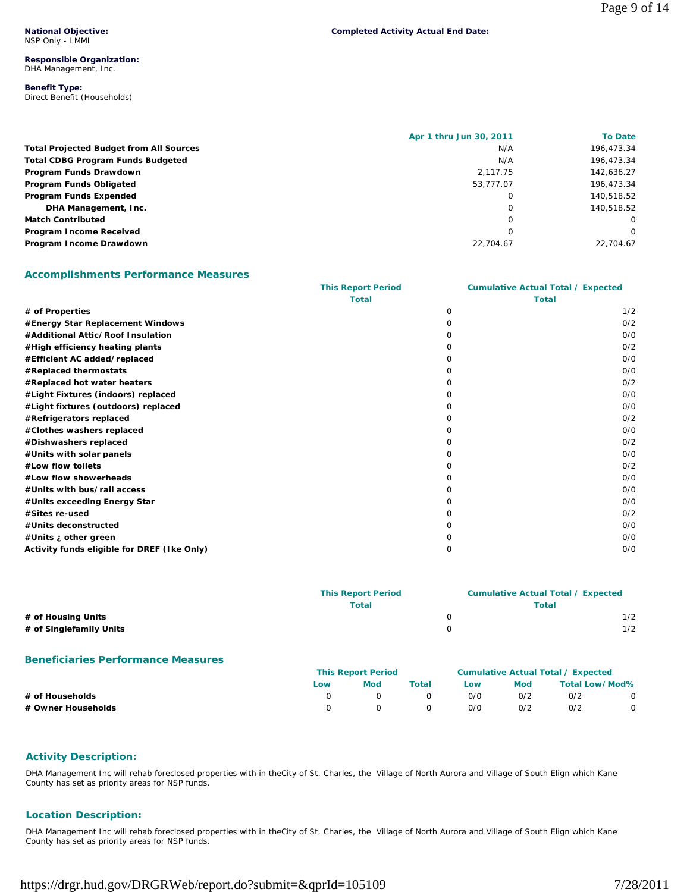**National Objective:** NSP Only - LMMI

### **Responsible Organization:** DHA Management, Inc.

### **Benefit Type:**  Direct Benefit (Households)

| <b>Completed Activity Actual End Date:</b> |  |
|--------------------------------------------|--|
|                                            |  |

|                                                | Apr 1 thru Jun 30, 2011 | <b>To Date</b> |
|------------------------------------------------|-------------------------|----------------|
| <b>Total Projected Budget from All Sources</b> | N/A                     | 196,473.34     |
| <b>Total CDBG Program Funds Budgeted</b>       | N/A                     | 196,473.34     |
| Program Funds Drawdown                         | 2.117.75                | 142,636.27     |
| Program Funds Obligated                        | 53.777.07               | 196,473.34     |
| Program Funds Expended                         |                         | 140.518.52     |
| DHA Management, Inc.                           | Ω                       | 140.518.52     |
| <b>Match Contributed</b>                       | 0                       | $\Omega$       |
| Program Income Received                        |                         | $\Omega$       |
| Program Income Drawdown                        | 22.704.67               | 22.704.67      |

# **Accomplishments Performance Measures**

|                                             | <b>This Report Period</b> | <b>Cumulative Actual Total / Expected</b> |              |  |
|---------------------------------------------|---------------------------|-------------------------------------------|--------------|--|
|                                             | <b>Total</b>              |                                           | <b>Total</b> |  |
| # of Properties                             |                           | $\Omega$                                  | 1/2          |  |
| #Energy Star Replacement Windows            |                           | O                                         | O/2          |  |
| #Additional Attic/Roof Insulation           |                           |                                           | O/O          |  |
| #High efficiency heating plants             |                           | O                                         | O/2          |  |
| #Efficient AC added/replaced                |                           |                                           | O/O          |  |
| #Replaced thermostats                       |                           | O                                         | 0/0          |  |
| #Replaced hot water heaters                 |                           |                                           | O/2          |  |
| #Light Fixtures (indoors) replaced          |                           | O                                         | O/O          |  |
| #Light fixtures (outdoors) replaced         |                           |                                           | 0/0          |  |
| #Refrigerators replaced                     |                           | O                                         | O/2          |  |
| #Clothes washers replaced                   |                           |                                           | O/O          |  |
| #Dishwashers replaced                       |                           |                                           | O/2          |  |
| #Units with solar panels                    |                           |                                           | O/O          |  |
| #Low flow toilets                           |                           |                                           | 0/2          |  |
| #Low flow showerheads                       |                           |                                           | O/O          |  |
| #Units with bus/rail access                 |                           |                                           | O/O          |  |
| #Units exceeding Energy Star                |                           |                                           | O/O          |  |
| #Sites re-used                              |                           | O                                         | 0/2          |  |
| #Units deconstructed                        |                           |                                           | O/O          |  |
| #Units <i>i</i> other green                 |                           |                                           | O/O          |  |
| Activity funds eligible for DREF (Ike Only) |                           | $\Omega$                                  | O/O          |  |

|                         | <b>This Report Period</b> |       | <b>Cumulative Actual Total / Expected</b> |  |
|-------------------------|---------------------------|-------|-------------------------------------------|--|
|                         | Total                     | Total |                                           |  |
| # of Housing Units      |                           |       | 1/2                                       |  |
| # of Singlefamily Units |                           |       | 1/2                                       |  |

## **Beneficiaries Performance Measures**

|                    | <b>This Report Period</b> |     |       | Cumulative Actual Total / Expected |            |                       |  |
|--------------------|---------------------------|-----|-------|------------------------------------|------------|-----------------------|--|
|                    | Low                       | Mod | Total | Low                                | <b>Mod</b> | <b>Total Low/Mod%</b> |  |
| # of Households    |                           |     |       | 0/0                                | 0/2        | O/2                   |  |
| # Owner Households |                           |     |       | 0/0                                | 0/2        | O/2                   |  |

## **Activity Description:**

DHA Management Inc will rehab foreclosed properties with in theCity of St. Charles, the Village of North Aurora and Village of South Elign which Kane County has set as priority areas for NSP funds.

## **Location Description:**

DHA Management Inc will rehab foreclosed properties with in theCity of St. Charles, the Village of North Aurora and Village of South Elign which Kane County has set as priority areas for NSP funds.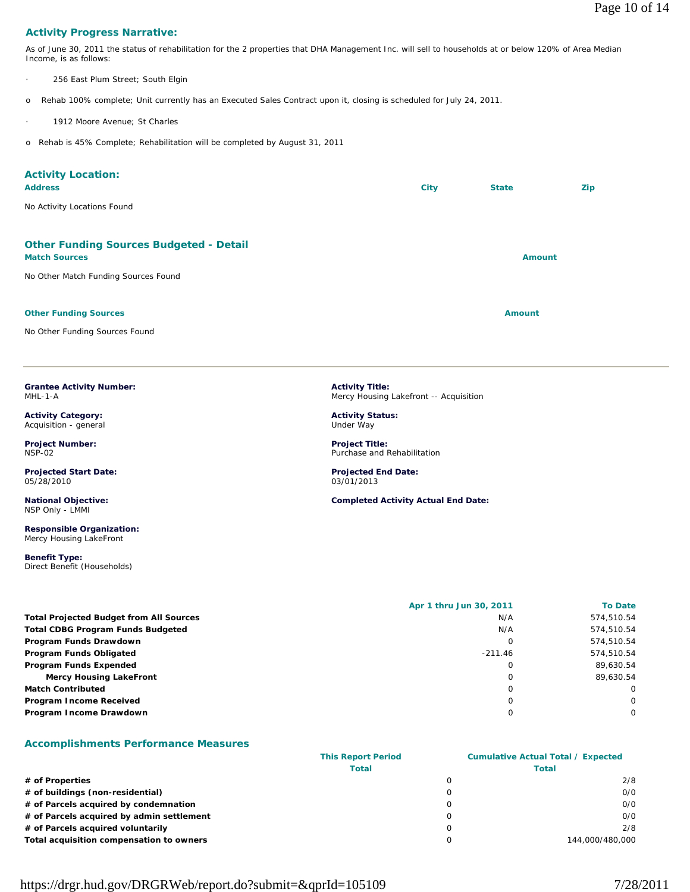# **Activity Progress Narrative:**

As of June 30, 2011 the status of rehabilitation for the 2 properties that DHA Management Inc. will sell to households at or below 120% of Area Median Income, is as follows:

256 East Plum Street; South Elgin

o Rehab 100% complete; Unit currently has an Executed Sales Contract upon it, closing is scheduled for July 24, 2011.

1912 Moore Avenue; St Charles

o Rehab is 45% Complete; Rehabilitation will be completed by August 31, 2011

| <b>Activity Location:</b><br><b>Address</b><br>No Activity Locations Found                                     | City                                                                                                     | <b>State</b>  | Zip |
|----------------------------------------------------------------------------------------------------------------|----------------------------------------------------------------------------------------------------------|---------------|-----|
| <b>Other Funding Sources Budgeted - Detail</b><br><b>Match Sources</b><br>No Other Match Funding Sources Found |                                                                                                          | <b>Amount</b> |     |
| <b>Other Funding Sources</b><br>No Other Funding Sources Found                                                 |                                                                                                          | <b>Amount</b> |     |
| <b>Grantee Activity Number:</b><br>MHL-1-A<br><b>Activity Category:</b><br>Acquisition - general               | <b>Activity Title:</b><br>Mercy Housing Lakefront -- Acquisition<br><b>Activity Status:</b><br>Under Way |               |     |
| <b>Project Number:</b><br><b>NSP-02</b><br><b>Projected Start Date:</b><br>05/28/2010                          | <b>Project Title:</b><br>Purchase and Rehabilitation<br><b>Projected End Date:</b><br>03/01/2013         |               |     |
| <b>National Objective:</b><br>NSP Only - LMMI<br><b>Responsible Organization:</b><br>Mercy Housing LakeFront   | <b>Completed Activity Actual End Date:</b>                                                               |               |     |
| <b>Benefit Type:</b>                                                                                           |                                                                                                          |               |     |

|                                                | Apr 1 thru Jun 30, 2011 | <b>To Date</b> |
|------------------------------------------------|-------------------------|----------------|
| <b>Total Projected Budget from All Sources</b> | N/A                     | 574,510.54     |
| <b>Total CDBG Program Funds Budgeted</b>       | N/A                     | 574,510.54     |
| Program Funds Drawdown                         | C                       | 574,510.54     |
| Program Funds Obligated                        | $-211.46$               | 574,510.54     |
| Program Funds Expended                         | 0                       | 89,630.54      |
| <b>Mercy Housing LakeFront</b>                 | 0                       | 89.630.54      |
| <b>Match Contributed</b>                       | 0                       | $\Omega$       |
| Program Income Received                        | Ω                       | $\Omega$       |
| Program Income Drawdown                        | 0                       | $\Omega$       |

## **Accomplishments Performance Measures**

Direct Benefit (Households)

|                                           | <b>This Report Period</b> | <b>Cumulative Actual Total / Expected</b> |                 |  |
|-------------------------------------------|---------------------------|-------------------------------------------|-----------------|--|
|                                           | <b>Total</b>              |                                           | Total           |  |
| # of Properties                           |                           | 0                                         | 2/8             |  |
| # of buildings (non-residential)          |                           | Ω                                         | 0/0             |  |
| # of Parcels acquired by condemnation     |                           |                                           | 0/0             |  |
| # of Parcels acquired by admin settlement |                           | $\Omega$                                  | 0/0             |  |
| # of Parcels acquired voluntarily         |                           |                                           | 2/8             |  |
| Total acquisition compensation to owners  |                           |                                           | 144.000/480.000 |  |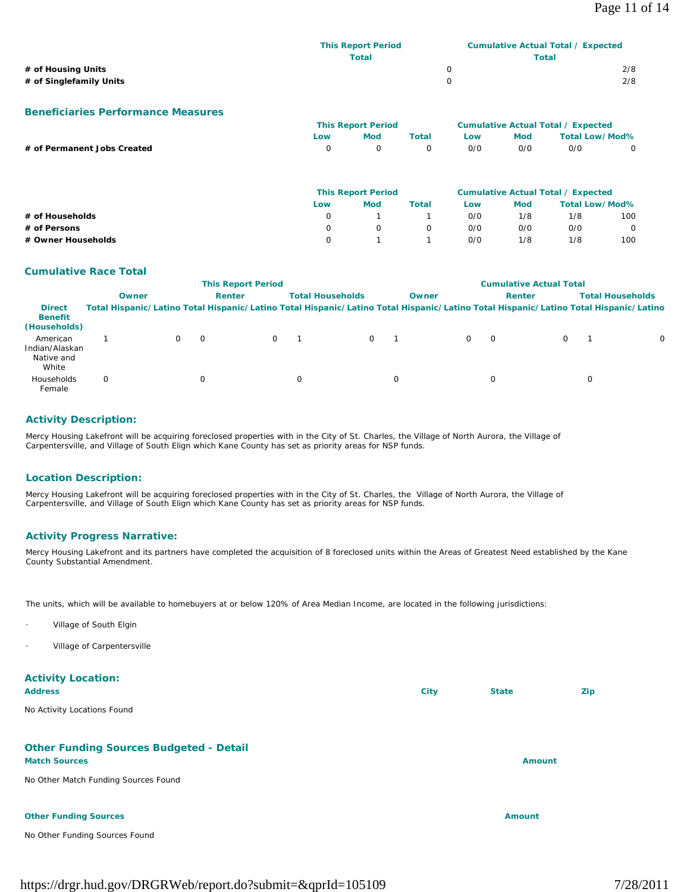| 2/8 |
|-----|
| 2/8 |
|     |

#### **Beneficiaries Performance Measures**

|                             | <b>This Report Period</b> |        |          | Cumulative Actual Total / Expected |            |                |   |
|-----------------------------|---------------------------|--------|----------|------------------------------------|------------|----------------|---|
|                             | Low                       | Mod    | Total    | Low                                | <b>Mod</b> | Total Low/Mod% |   |
| # of Permanent Jobs Created |                           | $\cap$ | $\Omega$ | O/O                                | O/O        | 0/0            | 0 |
|                             |                           |        |          |                                    |            |                |   |

|                    | <b>This Report Period</b> |     |       |     | <b>Cumulative Actual Total / Expected</b> |                       |     |  |
|--------------------|---------------------------|-----|-------|-----|-------------------------------------------|-----------------------|-----|--|
|                    | Low                       | Mod | Total | Low | <b>Mod</b>                                | <b>Total Low/Mod%</b> |     |  |
| # of Households    | 0                         |     |       | 0/0 | 1/8                                       | 1/8                   | 100 |  |
| # of Persons       | 0                         |     |       | 0/0 | 0/0                                       | 0/0                   | 0   |  |
| # Owner Households | 0                         |     |       | 0/0 | 1/8                                       | 1/8                   | 100 |  |

### **Cumulative Race Total**

|                                                   |                                                                                                                                     |               | <b>This Report Period</b> |   |                         | <b>Cumulative Actual Total</b> |          |          |  |   |                         |
|---------------------------------------------------|-------------------------------------------------------------------------------------------------------------------------------------|---------------|---------------------------|---|-------------------------|--------------------------------|----------|----------|--|---|-------------------------|
|                                                   | Owner                                                                                                                               | <b>Renter</b> |                           |   | <b>Total Households</b> |                                | Owner    | Renter   |  |   | <b>Total Households</b> |
| <b>Direct</b><br><b>Benefit</b><br>(Households)   | Total Hispanic/Latino Total Hispanic/Latino Total Hispanic/Latino Total Hispanic/Latino Total Hispanic/Latino Total Hispanic/Latino |               |                           |   |                         |                                |          |          |  |   |                         |
| American<br>Indian/Alaskan<br>Native and<br>White |                                                                                                                                     |               | $\Omega$                  |   | 0                       |                                | $\Omega$ | $\Omega$ |  |   | $\Omega$                |
| Households<br>Female                              | $\Omega$                                                                                                                            |               |                           | 0 |                         |                                |          | $\Omega$ |  | U |                         |

### **Activity Description:**

Mercy Housing Lakefront will be acquiring foreclosed properties with in the City of St. Charles, the Village of North Aurora, the Village of Carpentersville, and Village of South Elign which Kane County has set as priority areas for NSP funds.

### **Location Description:**

Mercy Housing Lakefront will be acquiring foreclosed properties with in the City of St. Charles, the Village of North Aurora, the Village of Carpentersville, and Village of South Elign which Kane County has set as priority areas for NSP funds.

### **Activity Progress Narrative:**

Mercy Housing Lakefront and its partners have completed the acquisition of 8 foreclosed units within the Areas of Greatest Need established by the Kane County Substantial Amendment.

The units, which will be available to homebuyers at or below 120% of Area Median Income, are located in the following jurisdictions:

- Village of South Elgin
- Village of Carpentersville

## **Activity Location:**

| <b>Address</b> | Citv | <b>State</b> | Zip |
|----------------|------|--------------|-----|
|----------------|------|--------------|-----|

No Activity Locations Found

## **Other Funding Sources Budgeted - Detail**

#### **Match Sources Amount**

No Other Match Funding Sources Found

#### **Other Funding Sources Amount 2018 19:30 19:30 19:30 19:30 19:30 19:30 19:30 19:30 19:30 19:30 19:30 19:30 19:30 19:30 19:30 19:30 19:30 19:30 19:30 19:30 19:30 19:30 19:30 19:30 19:30 19:30 19:30 19:30 19:30 19:30 19:30 1**

No Other Funding Sources Found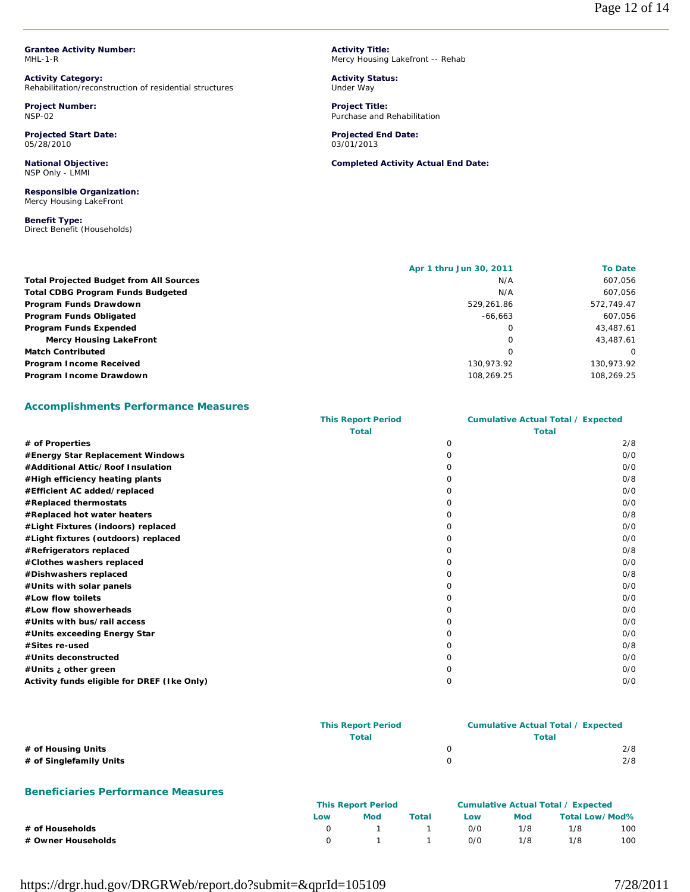**Grantee Activity Number:** MHL-1-R

**Activity Category:** Rehabilitation/reconstruction of residential structures

**Project Number:** NSP-02

**Projected Start Date:** 05/28/2010

**National Objective:** NSP Only - LMMI

**Responsible Organization:** Mercy Housing LakeFront

**Benefit Type:**  Direct Benefit (Households) **Activity Title:** Mercy Housing Lakefront -- Rehab

**Activity Status:** Under Way

**Project Title:** Purchase and Rehabilitation

**Projected End Date:** 03/01/2013

**Completed Activity Actual End Date:**

|                                                | Apr 1 thru Jun 30, 2011 | <b>To Date</b> |
|------------------------------------------------|-------------------------|----------------|
| <b>Total Projected Budget from All Sources</b> | N/A                     | 607,056        |
| <b>Total CDBG Program Funds Budgeted</b>       | N/A                     | 607,056        |
| Program Funds Drawdown                         | 529.261.86              | 572.749.47     |
| Program Funds Obligated                        | $-66.663$               | 607,056        |
| Program Funds Expended                         | 0                       | 43,487.61      |
| <b>Mercy Housing LakeFront</b>                 | 0                       | 43.487.61      |
| <b>Match Contributed</b>                       | 0                       | $\Omega$       |
| Program Income Received                        | 130.973.92              | 130,973.92     |
| Program Income Drawdown                        | 108,269.25              | 108,269.25     |

## **Accomplishments Performance Measures**

|                                             | <b>This Report Period</b> |              | <b>Cumulative Actual Total / Expected</b> |  |
|---------------------------------------------|---------------------------|--------------|-------------------------------------------|--|
|                                             | <b>Total</b>              | <b>Total</b> |                                           |  |
| # of Properties                             |                           | $\Omega$     | 2/8                                       |  |
| #Energy Star Replacement Windows            |                           | Ω            | O/O                                       |  |
| #Additional Attic/Roof Insulation           |                           | ∩            | O/O                                       |  |
| #High efficiency heating plants             |                           | O            | O/8                                       |  |
| #Efficient AC added/replaced                |                           | O            | O/O                                       |  |
| #Replaced thermostats                       |                           |              | O/O                                       |  |
| #Replaced hot water heaters                 |                           | O            | O/8                                       |  |
| #Light Fixtures (indoors) replaced          |                           |              | O/O                                       |  |
| #Light fixtures (outdoors) replaced         |                           |              | 0/0                                       |  |
| #Refrigerators replaced                     |                           |              | O/8                                       |  |
| #Clothes washers replaced                   |                           |              | 0/0                                       |  |
| #Dishwashers replaced                       |                           |              | O/8                                       |  |
| #Units with solar panels                    |                           |              | O/O                                       |  |
| #Low flow toilets                           |                           |              | O/O                                       |  |
| #Low flow showerheads                       |                           |              | O/O                                       |  |
| #Units with bus/rail access                 |                           |              | O/O                                       |  |
| #Units exceeding Energy Star                |                           |              | 0/0                                       |  |
| #Sites re-used                              |                           |              | O/8                                       |  |
| #Units deconstructed                        |                           |              | O/O                                       |  |
| #Units ; other green                        |                           |              | O/O                                       |  |
| Activity funds eligible for DREF (Ike Only) |                           | Ω            | 0/0                                       |  |

|                         | <b>This Report Period</b> | <b>Cumulative Actual Total / Expected</b> |
|-------------------------|---------------------------|-------------------------------------------|
|                         | Total                     | Total                                     |
| # of Housing Units      |                           | 2/8                                       |
| # of Singlefamily Units |                           | 2/8                                       |

## **Beneficiaries Performance Measures**

|                    | <b>This Report Period</b> |     |             |            | Cumulative Actual Total / Expected |                |     |  |  |
|--------------------|---------------------------|-----|-------------|------------|------------------------------------|----------------|-----|--|--|
|                    | Low                       | Mod | Total       | <b>LOW</b> | Mod                                | Total Low/Mod% |     |  |  |
| # of Households    |                           |     | $1 \quad 1$ | 0/0        | 1/8                                | 1/8            | 100 |  |  |
| # Owner Households |                           |     | $1 \quad 1$ | 0/0        | 1/8                                | 1/8            | 100 |  |  |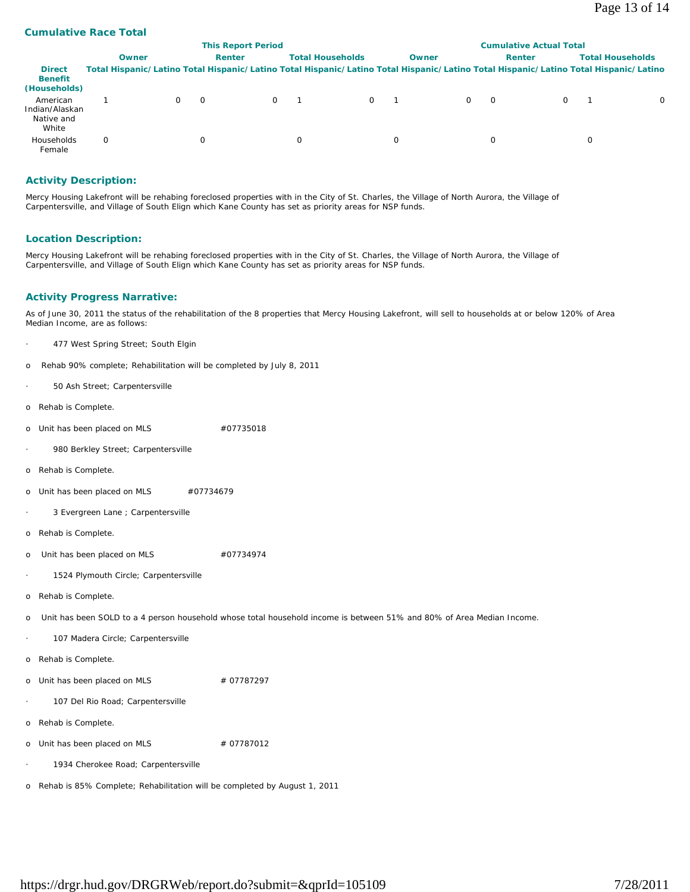## **Cumulative Race Total**

|                                                   |                                                                                                                                     |              | <b>Cumulative Actual Total</b> |          |   |                         |  |       |          |          |   |   |                         |
|---------------------------------------------------|-------------------------------------------------------------------------------------------------------------------------------------|--------------|--------------------------------|----------|---|-------------------------|--|-------|----------|----------|---|---|-------------------------|
|                                                   | Owner                                                                                                                               |              | Renter                         |          |   | <b>Total Households</b> |  | Owner |          | Renter   |   |   | <b>Total Households</b> |
| <b>Direct</b><br><b>Benefit</b><br>(Households)   | Total Hispanic/Latino Total Hispanic/Latino Total Hispanic/Latino Total Hispanic/Latino Total Hispanic/Latino Total Hispanic/Latino |              |                                |          |   |                         |  |       |          |          |   |   |                         |
| American<br>Indian/Alaskan<br>Native and<br>White |                                                                                                                                     | <sup>o</sup> |                                | $\Omega$ |   | $\Omega$                |  |       | $\Omega$ | $\Omega$ | 0 |   | $\Omega$                |
| Households<br>Female                              | $\Omega$                                                                                                                            |              |                                |          | 0 |                         |  |       |          | 0        |   | 0 |                         |

### **Activity Description:**

Mercy Housing Lakefront will be rehabing foreclosed properties with in the City of St. Charles, the Village of North Aurora, the Village of Carpentersville, and Village of South Elign which Kane County has set as priority areas for NSP funds.

### **Location Description:**

Mercy Housing Lakefront will be rehabing foreclosed properties with in the City of St. Charles, the Village of North Aurora, the Village of Carpentersville, and Village of South Elign which Kane County has set as priority areas for NSP funds.

### **Activity Progress Narrative:**

As of June 30, 2011 the status of the rehabilitation of the 8 properties that Mercy Housing Lakefront, will sell to households at or below 120% of Area Median Income, are as follows:

- 477 West Spring Street; South Elgin
- o Rehab 90% complete; Rehabilitation will be completed by July 8, 2011
- 50 Ash Street; Carpentersville
- o Rehab is Complete.
- o Unit has been placed on MLS #07735018
- 980 Berkley Street; Carpentersville
- o Rehab is Complete.
- o Unit has been placed on MLS #07734679
- 3 Evergreen Lane ; Carpentersville
- o Rehab is Complete.
- o Unit has been placed on MLS  $#07734974$
- · 1524 Plymouth Circle; Carpentersville
- o Rehab is Complete.
- o Unit has been SOLD to a 4 person household whose total household income is between 51% and 80% of Area Median Income.
	- 107 Madera Circle; Carpentersville
- o Rehab is Complete.

o Unit has been placed on MLS  $\#$  07787297

- 107 Del Rio Road; Carpentersville
- o Rehab is Complete.
- o Unit has been placed on MLS  $# 07787012$ 
	- 1934 Cherokee Road; Carpentersville
- o Rehab is 85% Complete; Rehabilitation will be completed by August 1, 2011